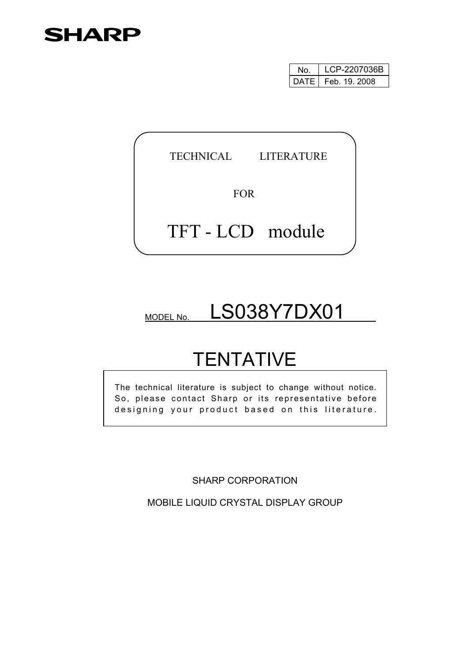## **SHARP**

| N٥ | LCP-2207036B         |  |  |  |  |
|----|----------------------|--|--|--|--|
|    | DATE   Feb. 19. 2008 |  |  |  |  |

TECHNICAL LITERATURE

FOR

## TFT - LCD module

# MODEL NO. LS038Y7DX01

# **TENTATIVE**

The technical literature is subject to change without notice. So, please contact Sharp or its representative before designing your product based on this literature.

SHARP CORPORATION

MOBILE LIQUID CRYSTAL DISPLAY GROUP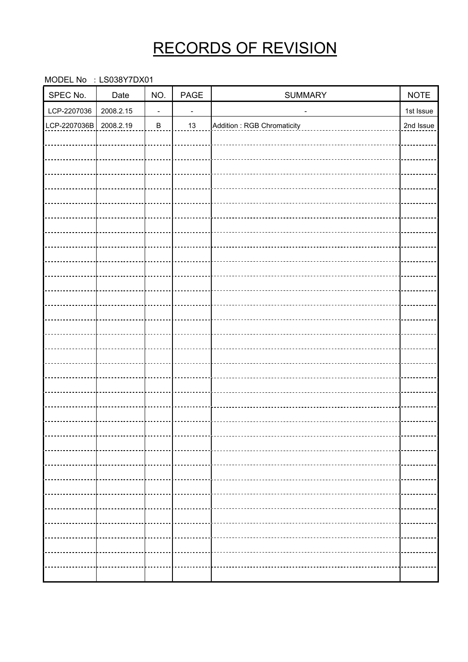## RECORDS OF REVISION

MODEL No : LS038Y7DX01

| SPEC No.     | Date      | NO.                      | PAGE           | SUMMARY                      | <b>NOTE</b> |
|--------------|-----------|--------------------------|----------------|------------------------------|-------------|
| LCP-2207036  | 2008.2.15 | $\overline{\phantom{a}}$ | $\blacksquare$ | $\qquad \qquad \blacksquare$ | 1st Issue   |
| LCP-2207036B | 2008.2.19 | $\, {\bf B}$             | $13$           | Addition: RGB Chromaticity   | 2nd Issue   |
|              |           |                          |                |                              |             |
|              |           |                          |                |                              |             |
|              |           |                          |                |                              |             |
|              |           |                          |                |                              |             |
|              |           |                          |                |                              |             |
|              |           |                          |                |                              |             |
|              |           |                          |                |                              |             |
|              |           |                          |                |                              |             |
|              |           |                          |                |                              |             |
|              |           |                          |                |                              |             |
|              |           |                          |                |                              |             |
|              |           |                          |                |                              |             |
|              |           |                          |                |                              |             |
|              |           |                          |                |                              |             |
|              |           |                          |                |                              |             |
|              |           |                          |                |                              |             |
|              |           |                          |                |                              |             |
|              |           |                          |                |                              |             |
|              |           |                          |                |                              |             |
|              |           |                          |                |                              |             |
|              |           |                          |                |                              |             |
|              |           |                          |                |                              |             |
|              |           |                          |                |                              |             |
|              |           |                          |                |                              |             |
|              |           |                          |                |                              |             |
|              |           |                          |                |                              |             |
|              |           |                          |                |                              |             |
|              |           |                          |                |                              |             |
|              |           |                          |                |                              |             |
|              |           |                          |                |                              |             |
|              |           |                          |                |                              |             |
|              |           |                          |                |                              |             |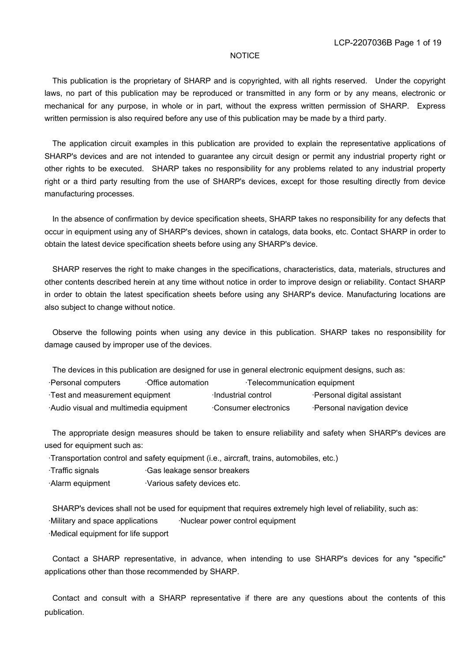#### **NOTICE**

 This publication is the proprietary of SHARP and is copyrighted, with all rights reserved. Under the copyright laws, no part of this publication may be reproduced or transmitted in any form or by any means, electronic or mechanical for any purpose, in whole or in part, without the express written permission of SHARP. Express written permission is also required before any use of this publication may be made by a third party.

 The application circuit examples in this publication are provided to explain the representative applications of SHARP's devices and are not intended to guarantee any circuit design or permit any industrial property right or other rights to be executed. SHARP takes no responsibility for any problems related to any industrial property right or a third party resulting from the use of SHARP's devices, except for those resulting directly from device manufacturing processes.

 In the absence of confirmation by device specification sheets, SHARP takes no responsibility for any defects that occur in equipment using any of SHARP's devices, shown in catalogs, data books, etc. Contact SHARP in order to obtain the latest device specification sheets before using any SHARP's device.

 SHARP reserves the right to make changes in the specifications, characteristics, data, materials, structures and other contents described herein at any time without notice in order to improve design or reliability. Contact SHARP in order to obtain the latest specification sheets before using any SHARP's device. Manufacturing locations are also subject to change without notice.

 Observe the following points when using any device in this publication. SHARP takes no responsibility for damage caused by improper use of the devices.

| The devices in this publication are designed for use in general electronic equipment designs, such as: |  |                      |                             |  |  |  |  |  |  |
|--------------------------------------------------------------------------------------------------------|--|----------------------|-----------------------------|--|--|--|--|--|--|
| Personal computers<br>Office automation<br>Telecommunication equipment                                 |  |                      |                             |  |  |  |  |  |  |
| Test and measurement equipment                                                                         |  | Industrial control   | ·Personal digital assistant |  |  |  |  |  |  |
| Audio visual and multimedia equipment                                                                  |  | Consumer electronics | ·Personal navigation device |  |  |  |  |  |  |

 The appropriate design measures should be taken to ensure reliability and safety when SHARP's devices are used for equipment such as:

·Transportation control and safety equipment (i.e., aircraft, trains, automobiles, etc.)

·Traffic signals ·Gas leakage sensor breakers

·Alarm equipment · Various safety devices etc.

 SHARP's devices shall not be used for equipment that requires extremely high level of reliability, such as: ·Military and space applications ·Nuclear power control equipment ·Medical equipment for life support

 Contact a SHARP representative, in advance, when intending to use SHARP's devices for any "specific" applications other than those recommended by SHARP.

 Contact and consult with a SHARP representative if there are any questions about the contents of this publication.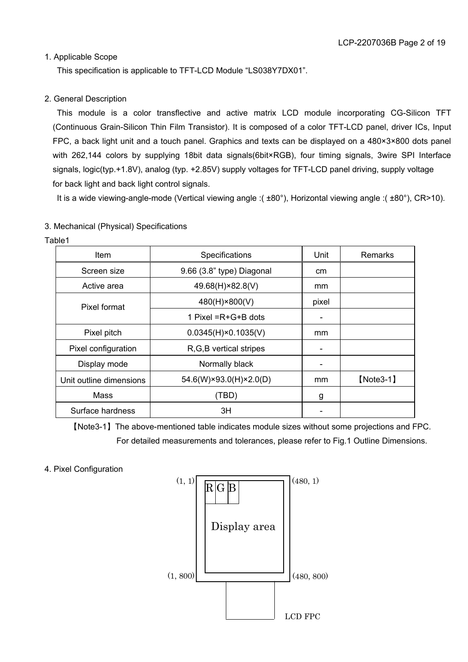#### 1. Applicable Scope

This specification is applicable to TFT-LCD Module "LS038Y7DX01".

#### 2. General Description

 This module is a color transflective and active matrix LCD module incorporating CG-Silicon TFT (Continuous Grain-Silicon Thin Film Transistor). It is composed of a color TFT-LCD panel, driver ICs, Input FPC, a back light unit and a touch panel. Graphics and texts can be displayed on a 480×3×800 dots panel with 262,144 colors by supplying 18bit data signals(6bit×RGB), four timing signals, 3wire SPI Interface signals, logic(typ.+1.8V), analog (typ. +2.85V) supply voltages for TFT-LCD panel driving, supply voltage for back light and back light control signals.

It is a wide viewing-angle-mode (Vertical viewing angle :( ±80°), Horizontal viewing angle :( ±80°), CR>10).

#### 3. Mechanical (Physical) Specifications

Table1

| Item                    | Specifications               | Unit  | Remarks     |
|-------------------------|------------------------------|-------|-------------|
| Screen size             | 9.66 (3.8" type) Diagonal    | cm    |             |
| Active area             | 49.68(H)×82.8(V)             | mm    |             |
| Pixel format            | 480(H)×800(V)                | pixel |             |
|                         | 1 Pixel $=R+G+B$ dots        |       |             |
| Pixel pitch             | $0.0345(H) \times 0.1035(V)$ | mm    |             |
| Pixel configuration     | R, G, B vertical stripes     | -     |             |
| Display mode            | Normally black               |       |             |
| Unit outline dimensions | 54.6(W)×93.0(H)×2.0(D)       | mm    | $[Note3-1]$ |
| Mass                    | (TBD)                        | g     |             |
| Surface hardness        | ЗH                           |       |             |

ޣNote3-1ޤThe above-mentioned table indicates module sizes without some projections and FPC. For detailed measurements and tolerances, please refer to Fig.1 Outline Dimensions.

#### 4. Pixel Configuration

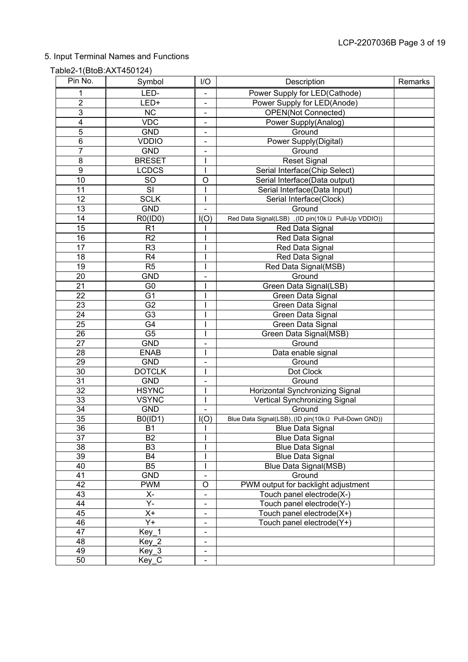### 5. Input Terminal Names and Functions

### Table2-1(BtoB:AXT450124)

| Pin No.         | Symbol                 | I/O                      | Description                                            | Remarks |
|-----------------|------------------------|--------------------------|--------------------------------------------------------|---------|
| 1               | LED-                   |                          | Power Supply for LED(Cathode)                          |         |
| $\overline{2}$  | LED+                   |                          | Power Supply for LED(Anode)                            |         |
| $\overline{3}$  | $\overline{\text{NC}}$ | $\blacksquare$           | <b>OPEN(Not Connected)</b>                             |         |
| 4               | <b>VDC</b>             | -                        | Power Supply(Analog)                                   |         |
| 5               | <b>GND</b>             | -                        | Ground                                                 |         |
| $\overline{6}$  | <b>VDDIO</b>           |                          | Power Supply(Digital)                                  |         |
| $\overline{7}$  | <b>GND</b>             |                          | Ground                                                 |         |
| 8               | <b>BRESET</b>          |                          | <b>Reset Signal</b>                                    |         |
| $\overline{9}$  | <b>LCDCS</b>           |                          | Serial Interface(Chip Select)                          |         |
| 10              | <b>SO</b>              | O                        | Serial Interface(Data output)                          |         |
| 11              | SI                     |                          | Serial Interface(Data Input)                           |         |
| 12              | <b>SCLK</b>            |                          | Serial Interface(Clock)                                |         |
| 13              | <b>GND</b>             |                          | Ground                                                 |         |
| 14              | RO(ID0)                | I(O)                     | Red Data Signal(LSB) 、(ID pin(10kΩ Pull-Up VDDIO))     |         |
| 15              | R <sub>1</sub>         |                          | Red Data Signal                                        |         |
| 16              | R2                     |                          | Red Data Signal                                        |         |
| 17              | R <sub>3</sub>         |                          | Red Data Signal                                        |         |
| 18              | R <sub>4</sub>         |                          | Red Data Signal                                        |         |
| 19              | R <sub>5</sub>         |                          | Red Data Signal(MSB)                                   |         |
| 20              | <b>GND</b>             |                          | Ground                                                 |         |
| 21              | G <sub>0</sub>         |                          | Green Data Signal(LSB)                                 |         |
| 22              | G <sub>1</sub>         |                          | Green Data Signal                                      |         |
| 23              | G <sub>2</sub>         |                          | Green Data Signal                                      |         |
| 24              | G <sub>3</sub>         |                          | Green Data Signal                                      |         |
| $\overline{25}$ | G4                     |                          | Green Data Signal                                      |         |
| 26              | $\overline{G5}$        |                          | Green Data Signal(MSB)                                 |         |
| 27              | <b>GND</b>             |                          | Ground                                                 |         |
| 28              | <b>ENAB</b>            |                          | Data enable signal                                     |         |
| 29              | <b>GND</b>             |                          | Ground                                                 |         |
| 30              | <b>DOTCLK</b>          |                          | Dot Clock                                              |         |
| 31              | <b>GND</b>             | $\overline{\phantom{0}}$ | Ground                                                 |         |
| $\overline{32}$ | <b>HSYNC</b>           |                          | Horizontal Synchronizing Signal                        |         |
| $\overline{33}$ | <b>VSYNC</b>           |                          | Vertical Synchronizing Signal                          |         |
| 34              | <b>GND</b>             |                          | Ground                                                 |         |
| $\overline{35}$ | B0(ID1)                | I(O)                     | Blue Data Signal(LSB)、(ID pin(10kΩ Pull-Down GND))     |         |
| $\overline{36}$ | $\overline{B1}$        | $\mathbf{I}$             | <b>Blue Data Signal</b>                                |         |
| 37              | <b>B2</b>              |                          | <b>Blue Data Signal</b>                                |         |
| 38              | B <sub>3</sub>         |                          | <b>Blue Data Signal</b>                                |         |
| 39              | B4                     |                          | <b>Blue Data Signal</b>                                |         |
| 40              | $\overline{B5}$        |                          | Blue Data Signal(MSB)                                  |         |
| 41              | <b>GND</b>             |                          | Ground                                                 |         |
| 42              | <b>PWM</b>             | O                        | PWM output for backlight adjustment                    |         |
| 43<br>44        | Х-<br>Y-               |                          | Touch panel electrode(X-)                              |         |
| 45              | $X +$                  |                          | Touch panel electrode(Y-)<br>Touch panel electrode(X+) |         |
| 46              | $\overline{Y+}$        |                          | Touch panel electrode(Y+)                              |         |
| 47              | Key 1                  |                          |                                                        |         |
| 48              | $Key_2$                |                          |                                                        |         |
| 49              | $Key_3$                |                          |                                                        |         |
| 50              | Key_C                  |                          |                                                        |         |
|                 |                        |                          |                                                        |         |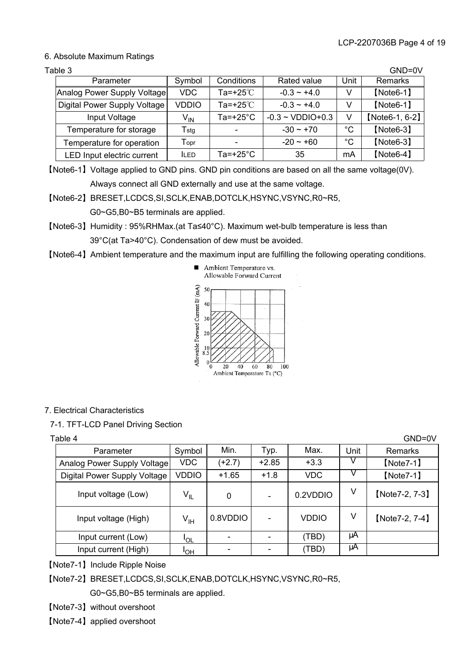#### 6. Absolute Maximum Ratings

| Table 3                      |                  |                     |                                |              | GND=0V         |
|------------------------------|------------------|---------------------|--------------------------------|--------------|----------------|
| Parameter                    | Symbol           | Conditions          | Rated value                    | Unit         | Remarks        |
| Analog Power Supply Voltage  | <b>VDC</b>       | Ta=+25 $°C$         | $-0.3 - +4.0$                  | v            | $[Note6-1]$    |
| Digital Power Supply Voltage | <b>VDDIO</b>     | Ta=+25 $°C$         | $-0.3 \sim +4.0$               | V            | $[Note6-1]$    |
| Input Voltage                | V <sub>IN</sub>  | Ta=+25 $^{\circ}$ C | $-0.3 \sim \text{VDDIO} + 0.3$ | V            | [Note6-1, 6-2] |
| Temperature for storage      | $T_{\text{stg}}$ |                     | $-30 - +70$                    | °C           | $[Note6-3]$    |
| Temperature for operation    | $\mathsf{T}$ opr |                     | $-20 - 60$                     | $^{\circ}$ C | $[Note6-3]$    |
| LED Input electric current   | <b>ILED</b>      | $Ta=+25^{\circ}C$   | 35                             | mA           | $[Note6-4]$    |

ޣNote6-1ޤVoltage applied to GND pins. GND pin conditions are based on all the same voltage(0V). Always connect all GND externally and use at the same voltage.

ޣNote6-2ޤBRESET,LCDCS,SI,SCLK,ENAB,DOTCLK,HSYNC,VSYNC,R0~R5, G0~G5,B0~B5 terminals are applied.

ޣNote6-3ޤHumidity : 95%RHMax.(at Ta40°C). Maximum wet-bulb temperature is less than 39°C(at Ta>40°C). Condensation of dew must be avoided.

ޣNote6-4ޤAmbient temperature and the maximum input are fulfilling the following operating conditions.



#### 7. Electrical Characteristics

7-1. TFT-LCD Panel Driving Section

| Table 4                      |                            |          |                          |              |      | GND=0V         |
|------------------------------|----------------------------|----------|--------------------------|--------------|------|----------------|
| Parameter                    | Symbol                     | Min.     | Typ.                     | Max.         | Unit | Remarks        |
| Analog Power Supply Voltage  | <b>VDC</b>                 | $(+2.7)$ | $+2.85$                  | $+3.3$       |      | $[Note7-1]$    |
| Digital Power Supply Voltage | <b>VDDIO</b>               | $+1.65$  | $+1.8$                   | <b>VDC</b>   |      | $[Note7-1]$    |
| Input voltage (Low)          | $\mathsf{V}_{\mathsf{IL}}$ | 0        | $\overline{\phantom{0}}$ | 0.2VDDIO     | V    | [Note7-2, 7-3] |
| Input voltage (High)         | $\mathsf{V}_{\mathsf{IH}}$ | 0.8VDDIO |                          | <b>VDDIO</b> | ٧    | [Note7-2, 7-4] |
| Input current (Low)          | <b>JOL</b>                 |          |                          | (TBD)        | μA   |                |
| Input current (High)         | ΙOΗ                        |          |                          | (TBD)        | μA   |                |

ޣNote7-1ޤInclude Ripple Noise

ޣNote7-2ޤBRESET,LCDCS,SI,SCLK,ENAB,DOTCLK,HSYNC,VSYNC,R0~R5,

G0~G5,B0~B5 terminals are applied.

ޣNote7-3ޤwithout overshoot

[Note7-4] applied overshoot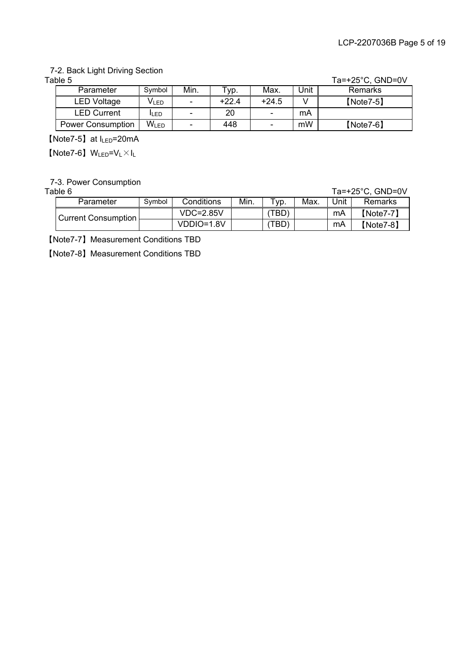### 7-2. Back Light Driving Section

| $Ta=+25^{\circ}C$ , $GND=0V$ |  |
|------------------------------|--|
|                              |  |

| Table 5                  |                  |      |         |         |      | Ta=+25 $^{\circ}$ C, GND=0V |
|--------------------------|------------------|------|---------|---------|------|-----------------------------|
| Parameter                | Symbol           | Min. | yp.     | Max.    | Unit | Remarks                     |
| <b>LED Voltage</b>       | V <sub>LED</sub> | -    | $+22.4$ | $+24.5$ |      | $[Note7-5]$                 |
| <b>LED Current</b>       | lı FD            |      | 20      | -       | mA   |                             |
| <b>Power Consumption</b> | WLED             |      | 448     | -       | mW   | $[Note 7-6]$                |

【Note7-5】at I<sub>LED</sub>=20mA

 $[Note7-6]$  W<sub>LED</sub>=V<sub>L</sub> $\times$ I<sub>L</sub>

7-3. Power Consumption

| Table 6             |        |               |      |               |      |      | $Ta=+25^{\circ}C$ , $GND=0V$ |
|---------------------|--------|---------------|------|---------------|------|------|------------------------------|
| Parameter           | Symbol | Conditions    | Min. | $\tau_{VD}$ . | Max. | Jnit | Remarks                      |
| Current Consumption |        | $VDC = 2.85V$ |      | (TBD)         |      | mA   | $[Note7-7]$                  |
|                     |        | VDDIO=1.8V    |      | (TBD)         |      | mA   | $[Note7-8]$                  |

ޣNote7-7ޤMeasurement Conditions TBD

ޣNote7-8ޤMeasurement Conditions TBD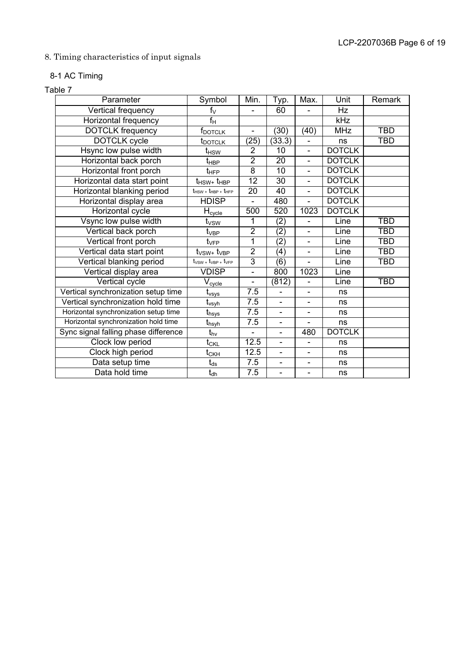### 8. Timing characteristics of input signals

### 8-1 AC Timing

#### Table 7

| Parameter                             | Symbol                                             | Min.                     | Typ.                     | Max.                         | Unit          | Remark     |
|---------------------------------------|----------------------------------------------------|--------------------------|--------------------------|------------------------------|---------------|------------|
| Vertical frequency                    | $f_V$                                              | $\overline{a}$           | 60                       | $\overline{a}$               | Hz            |            |
| Horizontal frequency                  | $f_H$                                              |                          |                          |                              | kHz           |            |
| <b>DOTCLK</b> frequency               | f <sub>dotclk</sub>                                | $\overline{\phantom{a}}$ | (30)                     | (40)                         | <b>MHz</b>    | <b>TBD</b> |
| <b>DOTCLK</b> cycle                   | t <sub>DOTCLK</sub>                                | (25)                     | (33.3)                   | $\blacksquare$               | ns            | <b>TBD</b> |
| Hsync low pulse width                 | t <sub>HSW</sub>                                   | $\overline{2}$           | $\overline{10}$          |                              | <b>DOTCLK</b> |            |
| Horizontal back porch                 | t <sub>HBP</sub>                                   | $\overline{2}$           | 20                       | $\overline{\phantom{0}}$     | <b>DOTCLK</b> |            |
| Horizontal front porch                | t <sub>HFP</sub>                                   | $\overline{8}$           | $\overline{10}$          | $\overline{\phantom{0}}$     | <b>DOTCLK</b> |            |
| Horizontal data start point           | $t_{\rm{HSW+}}t_{\rm{HBP}}$                        | 12                       | 30                       |                              | <b>DOTCLK</b> |            |
| Horizontal blanking period            | $t_{\text{HSV +}} t_{\text{HBP +}} t_{\text{HFP}}$ | 20                       | 40                       | $\overline{\phantom{0}}$     | <b>DOTCLK</b> |            |
| Horizontal display area               | <b>HDISP</b>                                       | $\overline{\phantom{0}}$ | 480                      | $\overline{a}$               | <b>DOTCLK</b> |            |
| Horizontal cycle                      | $H_{c$                                             | $\overline{500}$         | 520                      | 1023                         | <b>DOTCLK</b> |            |
| Vsync low pulse width                 | t <sub>vsw</sub>                                   | 1                        | (2)                      | $\qquad \qquad \blacksquare$ | Line          | <b>TBD</b> |
| Vertical back porch                   | t <sub>VBP</sub>                                   | $\overline{2}$           | (2)                      | $\qquad \qquad \blacksquare$ | Line          | <b>TBD</b> |
| Vertical front porch                  | $t_{\rm VFP}$                                      | $\overline{1}$           | $\overline{(2)}$         |                              | Line          | <b>TBD</b> |
| Vertical data start point             | $t_{VSW+}$ $t_{VBP}$                               | $\overline{2}$           | $\overline{(4)}$         | $\overline{\phantom{a}}$     | Line          | <b>TBD</b> |
| Vertical blanking period              | $t_{VSW}$ + $t_{VBP}$ + $t_{VFP}$                  | $\overline{3}$           | (6)                      | $\blacksquare$               | Line          | <b>TBD</b> |
| Vertical display area                 | <b>VDISP</b>                                       | $\overline{a}$           | 800                      | 1023                         | Line          |            |
| Vertical cycle                        | $V_{cycle}$                                        | $\blacksquare$           | (812)                    | $\blacksquare$               | Line          | <b>TBD</b> |
| Vertical synchronization setup time   | t <sub>vsys</sub>                                  | 7.5                      |                          |                              | ns            |            |
| Vertical synchronization hold time    | t <sub>vsyh</sub>                                  | $\overline{7.5}$         | $\overline{\phantom{0}}$ | $\overline{\phantom{0}}$     | ns            |            |
| Horizontal synchronization setup time | t <sub>hsys</sub>                                  | 7.5                      | $\overline{\phantom{0}}$ | $\overline{\phantom{a}}$     | ns            |            |
| Horizontal synchronization hold time  | t <sub>hsyh</sub>                                  | 7.5                      |                          |                              | ns            |            |
| Sync signal falling phase difference  | $t_{hv}$                                           | $\blacksquare$           | $\overline{a}$           | 480                          | <b>DOTCLK</b> |            |
| Clock low period                      | $t_{\text{CKL}}$                                   | 12.5                     | $\overline{\phantom{0}}$ | $\overline{\phantom{a}}$     | ns            |            |
| Clock high period                     | $\mathsf{t}_{\mathsf{CKH}}$                        | 12.5                     |                          |                              | ns            |            |
| Data setup time                       | $\mathfrak{t}_{\text{ds}}$                         | 7.5                      | $\overline{\phantom{0}}$ | $\qquad \qquad \blacksquare$ | ns            |            |
| Data hold time                        | $t_{\text{dh}}$                                    | 7.5                      | $\overline{\phantom{0}}$ | $\overline{\phantom{0}}$     | ns            |            |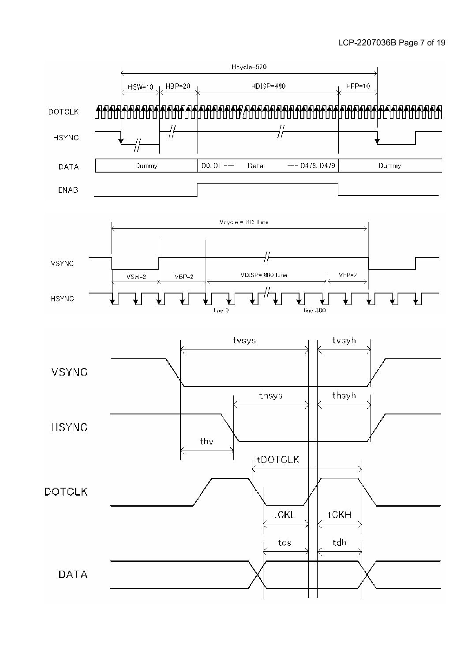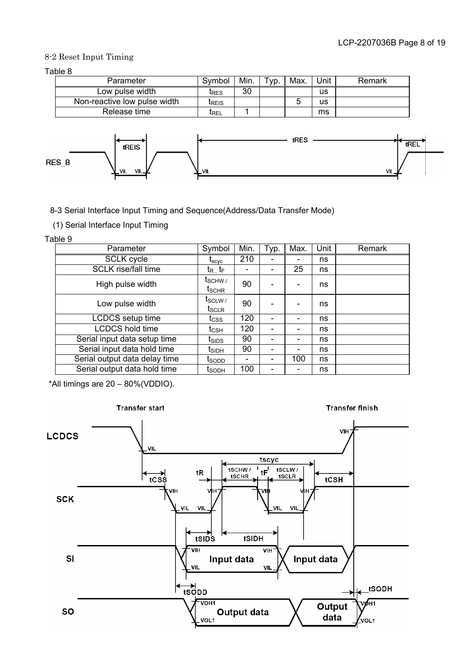#### 8-2 Reset Input Timing

Table 8

| Parameter                    | Symbol        | Min. | Typ. | Max. | Jnit | Remark |
|------------------------------|---------------|------|------|------|------|--------|
| Low pulse width              | IRES          | 30   |      |      | us   |        |
| Non-reactive low pulse width | <b>I</b> REIS |      |      |      | us   |        |
| Release time                 | <b>LREL</b>   |      |      |      | ms   |        |



8-3 Serial Interface Input Timing and Sequence(Address/Data Transfer Mode)

(1) Serial Interface Input Timing

Table 9

| Parameter                     | Symbol                                               | Min. | Typ. | Max. | Unit | Remark |
|-------------------------------|------------------------------------------------------|------|------|------|------|--------|
| <b>SCLK cycle</b>             | $\boldsymbol{\mathfrak{t}}_{\text{scyc}}$            | 210  |      |      | ns   |        |
| <b>SCLK</b> rise/fall time    | $\mathsf{t}_{\mathsf{R}_+}\mathsf{t}_{\mathsf{F}_-}$ |      |      | 25   | ns   |        |
| High pulse width              | t <sub>SCHW</sub><br>tschr                           | 90   |      |      | ns   |        |
| Low pulse width               | $t_{SCLW}$<br>t <sub>SCLR</sub>                      | 90   |      |      | ns   |        |
| <b>LCDCS</b> setup time       | $\mathfrak{t}_{\mathrm{CSS}}$                        | 120  |      | -    | ns   |        |
| <b>LCDCS hold time</b>        | t <sub>CSH</sub>                                     | 120  |      |      | ns   |        |
| Serial input data setup time  | $t_{\scriptstyle\text{SIDS}}$                        | 90   |      |      | ns   |        |
| Serial input data hold time   | t <sub>SIDH</sub>                                    | 90   |      |      | ns   |        |
| Serial output data delay time | t <sub>SODD</sub>                                    |      |      | 100  | ns   |        |
| Serial output data hold time  | l <sub>SODH</sub>                                    | 100  |      | -    | ns   |        |

\*All timings are 20 – 80%(VDDIO).

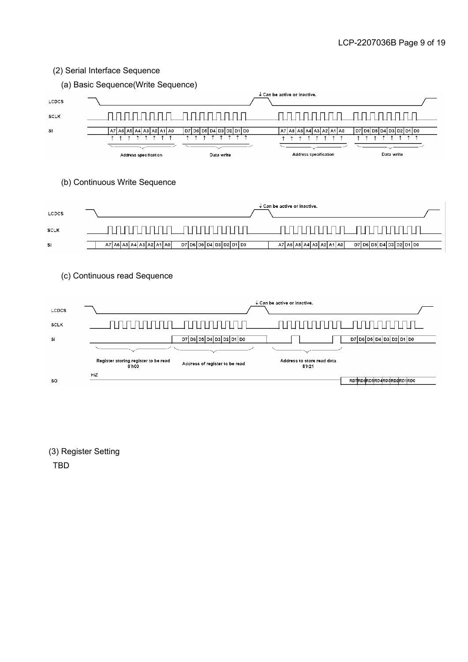#### (2) Serial Interface Sequence





(3) Register Setting

TBD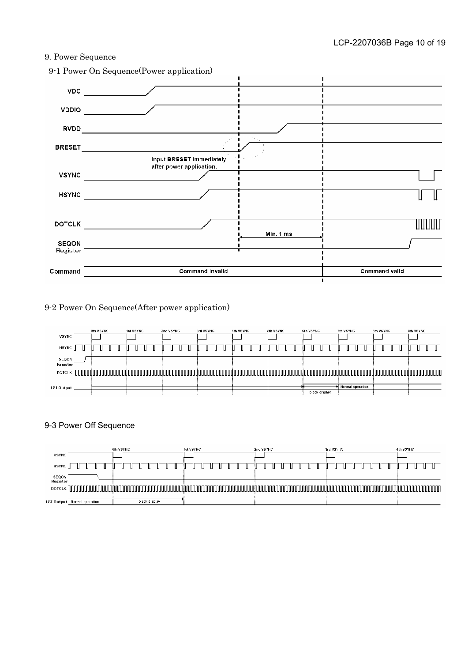#### 9. Power Sequence



9-2 Power On Sequence(After power application)

| <b>VSYNC</b>      | 0th VSYNC                                                                                                      | 1st VSYNC | 2nd VSYNC | 3rd VSYNC | 4th VSYNC | 5th VSYNC | 6th VSYNC     | 7th VSYNC        | <b>8th VSYNC</b> | 9th VSYNC |
|-------------------|----------------------------------------------------------------------------------------------------------------|-----------|-----------|-----------|-----------|-----------|---------------|------------------|------------------|-----------|
| <b>HSYNC</b>      |                                                                                                                |           |           |           |           |           |               |                  |                  |           |
| SEQON<br>Register |                                                                                                                |           |           |           |           |           |               |                  |                  |           |
| <b>DOTCLK</b>     | http://www.appartition.com/www.appartition.com/www.appartition.com/www.appartition.com/www.appartition.com/www |           |           |           |           |           |               |                  |                  |           |
| <b>LSI Output</b> |                                                                                                                |           |           |           |           |           | black display | Normal operation |                  |           |

#### 9-3 Power Off Sequence

|                   |                             | 0th VSYNC |               | 1st VSYNC |  | 2nd VSYNC |  | 3rd VSYNC |  |  | 4th VSYNC |  |                    |
|-------------------|-----------------------------|-----------|---------------|-----------|--|-----------|--|-----------|--|--|-----------|--|--------------------|
| <b>VSYNC</b>      |                             |           |               |           |  |           |  |           |  |  |           |  |                    |
| <b>HSYNC</b>      |                             |           |               |           |  |           |  |           |  |  |           |  |                    |
| SEQON<br>Register |                             |           |               |           |  |           |  |           |  |  |           |  |                    |
| <b>DOTCLK</b>     |                             |           |               |           |  |           |  |           |  |  |           |  | <b>IN 11 11 11</b> |
|                   | LSI Output Normal operation |           | black display |           |  |           |  |           |  |  |           |  |                    |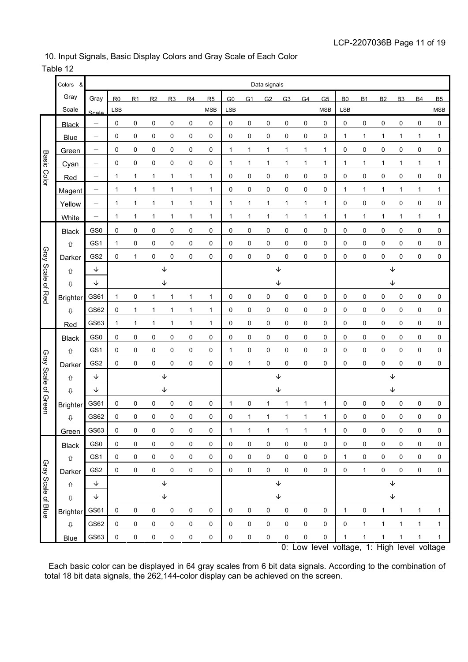#### 10. Input Signals, Basic Display Colors and Gray Scale of Each Color

#### Table 12

|                     | Colors<br>&       |                                | Data signals        |             |                     |              |                |            |                     |              |             |                |                |                                             |                |                     |              |                |           |              |
|---------------------|-------------------|--------------------------------|---------------------|-------------|---------------------|--------------|----------------|------------|---------------------|--------------|-------------|----------------|----------------|---------------------------------------------|----------------|---------------------|--------------|----------------|-----------|--------------|
|                     | Gray              | Gray                           | R <sub>0</sub>      | R1          | R <sub>2</sub>      | R3           | R <sub>4</sub> | R5         | G0                  | G1           | G2          | G <sub>3</sub> | G <sub>4</sub> | G <sub>5</sub>                              | B <sub>0</sub> | <b>B1</b>           | <b>B2</b>    | B <sub>3</sub> | <b>B4</b> | <b>B5</b>    |
|                     | Scale             | Scale                          | <b>LSB</b>          |             |                     |              |                | <b>MSB</b> | LSB                 |              |             |                |                | <b>MSB</b>                                  | LSB            |                     |              |                |           | <b>MSB</b>   |
|                     | <b>Black</b>      | $\qquad \qquad -$              | 0                   | 0           | 0                   | 0            | 0              | 0          | 0                   | 0            | 0           | 0              | 0              | 0                                           | 0              | 0                   | 0            | 0              | 0         | 0            |
|                     | <b>Blue</b>       | $\qquad \qquad \longleftarrow$ | 0                   | 0           | 0                   | 0            | 0              | 0          | 0                   | 0            | 0           | 0              | 0              | 0                                           | 1              | 1                   | 1            | 1              | 1         | 1            |
|                     | Green             | $\qquad \qquad -$              | 0                   | 0           | 0                   | 0            | 0              | 0          | 1                   | 1            | 1           | $\mathbf{1}$   | $\mathbf{1}$   | 1                                           | 0              | 0                   | 0            | 0              | 0         | 0            |
|                     | Cyan              | $\qquad \qquad -$              | 0                   | 0           | 0                   | 0            | 0              | 0          | 1                   | 1            | 1           | 1              | 1              | 1                                           | 1              | 1                   | $\mathbf{1}$ | 1              | 1         | 1            |
| <b>Basic Color</b>  | Red               | $\overline{\phantom{m}}$       | 1                   | 1           | 1                   | 1            | 1              | 1          | 0                   | 0            | 0           | 0              | 0              | 0                                           | 0              | 0                   | 0            | 0              | 0         | 0            |
|                     | Magent            | $\qquad \qquad -$              | 1                   | 1           | $\mathbf 1$         | 1            | 1              | 1          | 0                   | 0            | 0           | 0              | 0              | 0                                           | 1              | 1                   | 1            | 1              | 1         | 1            |
|                     | Yellow            | $\qquad \qquad -$              | 1                   | 1           | 1                   | 1            | 1              | 1          | 1                   | 1            | 1           | 1              | $\mathbf{1}$   | $\mathbf{1}$                                | 0              | 0                   | 0            | 0              | 0         | 0            |
|                     | White             | $\qquad \qquad \longleftarrow$ | 1                   | 1           | $\mathbf 1$         | 1            | 1              | 1          | 1                   | 1            | 1           | 1              | $\mathbf{1}$   | 1                                           | 1              | 1                   | 1            | 1              | 1         | 1            |
|                     | <b>Black</b>      | GS <sub>0</sub>                | 0                   | 0           | 0                   | 0            | 0              | 0          | 0                   | 0            | $\mathbf 0$ | 0              | 0              | 0                                           | 0              | 0                   | 0            | 0              | 0         | 0            |
|                     | ⇧                 | GS1                            | 1                   | 0           | 0                   | 0            | 0              | 0          | 0                   | 0            | $\mathbf 0$ | 0              | 0              | 0                                           | 0              | 0                   | 0            | 0              | 0         | 0            |
|                     | Darker            | GS <sub>2</sub>                | 0                   | 1           | 0                   | 0            | 0              | 0          | 0                   | 0            | 0           | 0              | 0              | 0                                           | 0              | 0                   | 0            | 0              | 0         | 0            |
| Gray Scale of Red   | ⇧                 | ↓                              | ↓                   |             |                     |              |                |            |                     |              |             | ↓              |                |                                             | ↓              |                     |              |                |           |              |
|                     | ⇩                 | ↓                              | ↓                   |             |                     |              |                | ↓          |                     |              |             | ↓              |                |                                             |                |                     |              |                |           |              |
|                     | <b>Brighter</b>   | GS61                           | 1                   | 0           | 1                   | 1            | 1              | 1          | 0                   | 0            | 0           | 0              | 0              | 0                                           | 0              | 0                   | 0            | 0              | 0         | 0            |
|                     | $\overline{\psi}$ | GS62                           | 0                   | 1           | 1                   | 1            | 1              | 1          | 0                   | 0            | 0           | 0              | 0              | 0                                           | 0              | 0                   | 0            | 0              | 0         | 0            |
|                     | Red               | GS63                           | 1                   | $\mathbf 1$ | $\mathbf 1$         | 1            | 1              | 1          | 0                   | 0            | $\mathbf 0$ | 0              | 0              | 0                                           | 0              | 0                   | 0            | 0              | 0         | 0            |
|                     | <b>Black</b>      | GS <sub>0</sub>                | 0                   | 0           | 0                   | 0            | 0              | 0          | 0                   | 0            | 0           | 0              | 0              | 0                                           | 0              | 0                   | 0            | 0              | 0         | 0            |
|                     | 仚                 | GS1                            | 0                   | 0           | 0                   | 0            | 0              | 0          | 1                   | 0            | 0           | 0              | 0              | 0                                           | 0              | 0                   | 0            | 0              | 0         | 0            |
|                     | Darker            | GS <sub>2</sub>                | 0                   | 0           | 0                   | 0            | 0              | 0          | 0                   | $\mathbf{1}$ | 0           | 0              | 0              | 0                                           | 0              | 0                   | 0            | 0              | 0         | 0            |
|                     | 仚                 | ↓                              |                     |             |                     | ↓            |                |            | ↓                   |              |             |                | ↓              |                                             |                |                     |              |                |           |              |
|                     | ⇩                 | ↓                              |                     |             |                     | ↓            |                |            |                     |              |             | ↓              |                |                                             | ↓              |                     |              |                |           |              |
| Gray Scale of Green | <b>Brighter</b>   | GS61                           | 0                   | 0           | 0                   | 0            | 0              | 0          | 1                   | 0            | 1           | 1              | 1              | 1                                           | 0              | 0                   | 0            | 0              | 0         | 0            |
|                     | ⇩                 | GS62                           | 0                   | 0           | 0                   | 0            | 0              | 0          | 0                   | 1            | 1           | 1              | 1              | 1                                           | 0              | 0                   | 0            | 0              | 0         | 0            |
|                     | Green             | GS63                           | 0                   | 0           | 0                   | 0            | 0              | 0          | 1                   | 1            | 1           | 1              | 1              | 1                                           | 0              | 0                   | 0            | 0              | 0         | 0            |
|                     | <b>Black</b>      | GS0                            | $\mathsf 0$         | $\pmb{0}$   | $\pmb{0}$           | $\pmb{0}$    | $\pmb{0}$      | 0          | $\mathsf 0$         | 0            | 0           | 0              | $\pmb{0}$      | 0                                           | 0              | $\pmb{0}$           | $\pmb{0}$    | $\pmb{0}$      | 0         | 0            |
|                     | ⇧                 | GS1                            | $\mathsf 0$         | $\pmb{0}$   | $\mathsf{O}\xspace$ | $\pmb{0}$    | $\pmb{0}$      | 0          | $\pmb{0}$           | 0            | $\pmb{0}$   | $\pmb{0}$      | $\pmb{0}$      | $\pmb{0}$                                   | 1              | $\mathsf{O}\xspace$ | $\pmb{0}$    | $\pmb{0}$      | $\pmb{0}$ | $\pmb{0}$    |
|                     | Darker            | GS <sub>2</sub>                | $\mathsf{O}\xspace$ | $\mathsf 0$ | $\pmb{0}$           | $\mathbf 0$  | $\pmb{0}$      | 0          | $\mathsf{O}\xspace$ | $\mathsf 0$  | $\pmb{0}$   | $\pmb{0}$      | $\pmb{0}$      | 0                                           | 0              | $\mathbf{1}$        | $\pmb{0}$    | $\pmb{0}$      | 0         | $\pmb{0}$    |
|                     | ⇧                 | $\downarrow$                   |                     |             |                     | $\downarrow$ |                |            |                     |              |             | $\downarrow$   |                |                                             |                |                     |              | $\downarrow$   |           |              |
|                     | $\mathbb Q$       | $\downarrow$                   |                     |             |                     | ↓            |                |            | $\downarrow$        |              |             |                |                | ↓                                           |                |                     |              |                |           |              |
| Gray Scale of Blue  | <b>Brighter</b>   | GS61                           | $\mathbf 0$         | 0           | $\pmb{0}$           | $\pmb{0}$    | 0              | 0          | $\mathsf{O}$        | 0            | 0           | 0              | 0              | 0                                           | 1              | 0                   | 1            | $\mathbf{1}$   | 1         | $\mathbf 1$  |
|                     | $\mathbb Q$       | GS62                           | $\mathsf 0$         | 0           | $\pmb{0}$           | $\pmb{0}$    | 0              | 0          | $\pmb{0}$           | 0            | 0           | $\pmb{0}$      | $\pmb{0}$      | $\pmb{0}$                                   | 0              | $\mathbf{1}$        | $\mathbf{1}$ | $\mathbf{1}$   | 1         | $\mathbf{1}$ |
|                     | <b>Blue</b>       | GS63                           | $\mathsf 0$         | $\mathbf 0$ | $\pmb{0}$           | $\pmb{0}$    | $\pmb{0}$      | 0          | $\pmb{0}$           | 0            | 0           | $\pmb{0}$      | $\pmb{0}$      | $\pmb{0}$                                   | 1              | $\mathbf{1}$        | $\mathbf 1$  | 1              | 1         | $\mathbf 1$  |
|                     |                   |                                |                     |             |                     |              |                |            |                     |              |             |                |                | 0: Low level voltage, 1: High level voltage |                |                     |              |                |           |              |

 Each basic color can be displayed in 64 gray scales from 6 bit data signals. According to the combination of total 18 bit data signals, the 262,144-color display can be achieved on the screen.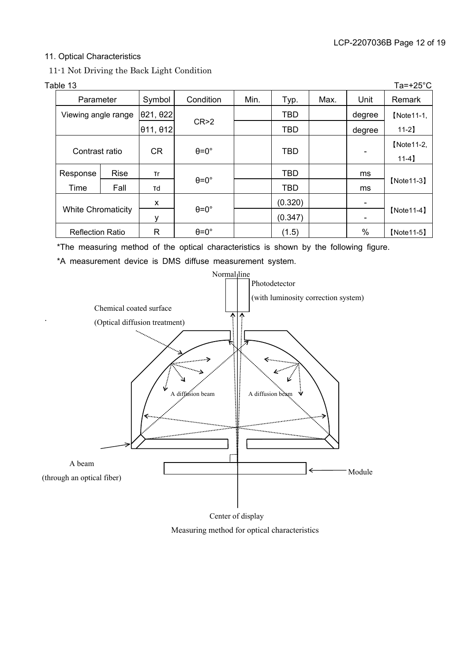#### 11. Optical Characteristics

11-1 Not Driving the Back Light Condition

.

|  | Table 13                  |             |                           |                    |      |            |      |                          | Ta=+25 $^{\circ}$ C |
|--|---------------------------|-------------|---------------------------|--------------------|------|------------|------|--------------------------|---------------------|
|  | Parameter                 |             | Symbol                    | Condition          | Min. | Typ.       | Max. | Unit                     | Remark              |
|  | Viewing angle range       |             | 021, 022                  |                    |      | <b>TBD</b> |      | degree                   | [Note11-1,          |
|  |                           |             | $ \theta$ 11, $\theta$ 12 | CR > 2             |      | TBD        |      | degree                   | $11-2$              |
|  | Contrast ratio            |             |                           |                    |      | <b>TBD</b> |      |                          | [Note11-2,          |
|  |                           |             | <b>CR</b>                 | $\theta = 0^\circ$ |      |            |      |                          | $11-4$ ]            |
|  | Response                  | <b>Rise</b> | <b>Tr</b>                 |                    |      | <b>TBD</b> |      | ms                       |                     |
|  | Time                      | Fall        | Td                        | $\theta = 0^\circ$ |      | <b>TBD</b> |      | ms                       | $[Note 11-3]$       |
|  | <b>White Chromaticity</b> |             | X                         |                    |      | (0.320)    |      | $\overline{\phantom{a}}$ |                     |
|  |                           |             | ۷                         | $\theta = 0^\circ$ |      | (0.347)    |      |                          | $[Note 11-4]$       |
|  | <b>Reflection Ratio</b>   |             | $\mathsf{R}$              | $\theta = 0^\circ$ |      | (1.5)      |      | $\%$                     | $[Note 11-5]$       |

\*The measuring method of the optical characteristics is shown by the following figure.

\*A measurement device is DMS diffuse measurement system.



Center of display

Measuring method for optical characteristics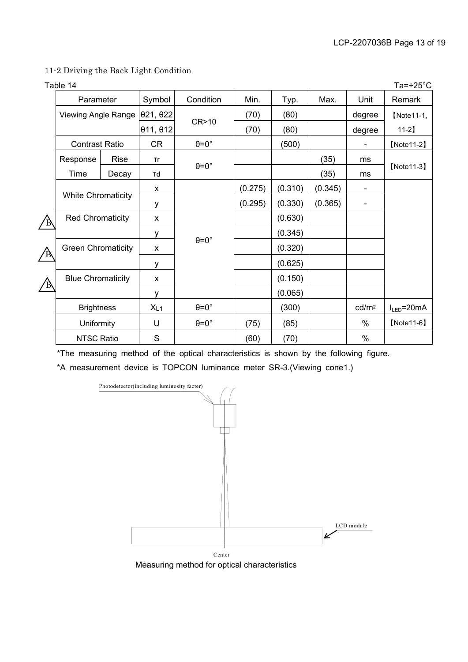#### 11-2 Driving the Back Light Condition

|   | Table 14                                             |             |                          |                    |         |         |         |                          | Ta=+25 $^{\circ}$ C |
|---|------------------------------------------------------|-------------|--------------------------|--------------------|---------|---------|---------|--------------------------|---------------------|
|   | Parameter                                            |             | Symbol                   | Condition          | Min.    | Typ.    | Max.    | Unit                     | Remark              |
|   | Viewing Angle Range                                  |             | $\theta$ 21, $\theta$ 22 |                    | (70)    | (80)    |         | degree                   | [Note11-1,          |
|   |                                                      |             | 011, 012                 | CR>10              | (70)    | (80)    |         | degree                   | $11-2$ ]            |
|   | <b>Contrast Ratio</b>                                |             | <b>CR</b>                | $\theta = 0^\circ$ |         | (500)   |         |                          | $[Note 11-2]$       |
|   | Response                                             | <b>Rise</b> | <b>Tr</b>                |                    |         |         | (35)    | ms                       |                     |
|   | Time<br>Decay                                        |             | Td                       | $\theta = 0^\circ$ |         |         | (35)    | ms                       | $[Note 11-3]$       |
|   |                                                      |             |                          |                    | (0.275) | (0.310) | (0.345) | $\overline{\phantom{a}}$ |                     |
|   | <b>White Chromaticity</b><br><b>Red Chromaticity</b> |             | у                        |                    | (0.295) | (0.330) | (0.365) | $\overline{\phantom{a}}$ |                     |
|   |                                                      |             | X                        |                    |         | (0.630) |         |                          |                     |
|   |                                                      |             | У                        |                    |         | (0.345) |         |                          |                     |
| Έ | <b>Green Chromaticity</b>                            |             | X                        | $\theta = 0^\circ$ |         | (0.320) |         |                          |                     |
|   |                                                      |             | у                        |                    |         | (0.625) |         |                          |                     |
|   | <b>Blue Chromaticity</b><br>Ά                        |             | X                        |                    |         | (0.150) |         |                          |                     |
|   |                                                      |             | у                        |                    |         | (0.065) |         |                          |                     |
|   | <b>Brightness</b>                                    |             | XL1                      | $\theta = 0^\circ$ |         | (300)   |         | cd/m <sup>2</sup>        | $I_{LED} = 20mA$    |
|   | Uniformity                                           |             | U                        | $\theta = 0^\circ$ | (75)    | (85)    |         | $\%$                     | $[Note 11-6]$       |
|   | <b>NTSC Ratio</b>                                    |             | ${\mathsf S}$            |                    | (60)    | (70)    |         | $\%$                     |                     |

\*The measuring method of the optical characteristics is shown by the following figure.

\*A measurement device is TOPCON luminance meter SR-3.(Viewing cone1.)



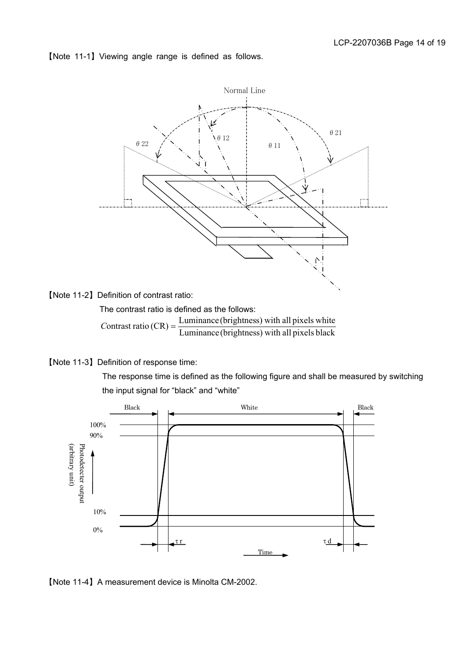ޣNote 11-1ޤViewing angle range is defined as follows.



ޣNote 11-2ޤDefinition of contrast ratio:

The contrast ratio is defined as the follows:

Luminance (brightness) with all pixels black Contrast ratio  $(CR) = \frac{\text{Luminance (brightness) with all pixels white}}{\text{Luminance (rightness)}}$ 

ޣNote 11-3ޤDefinition of response time:

 The response time is defined as the following figure and shall be measured by switching the input signal for "black" and "white"



ޣNote 11-4ޤA measurement device is Minolta CM-2002.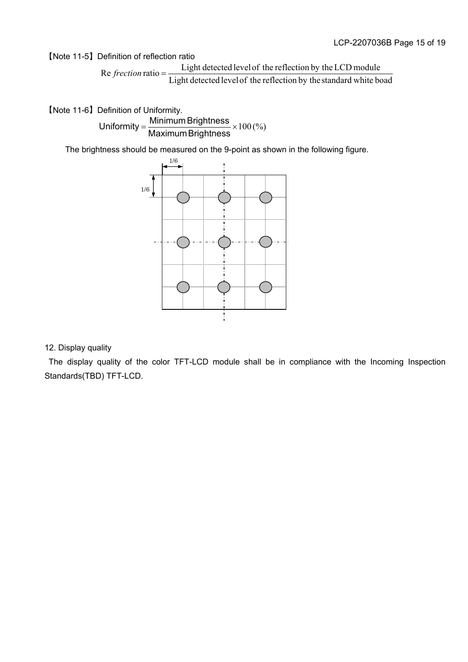ޣNote 11-5ޤDefinition of reflection ratio

Light detected levelof the reflection by thestandard white boad Re  $f$ rection ratio =  $\frac{\text{Light detected level of the reflection by the LCD module}}{\text{Lengthed}}$ 

**[Note 11-6] Definition of Uniformity.**  $\textsf{Uniformity} = \frac{\textsf{Minimum Briggs}}{\textsf{Maximum Briggs}} \times 100\,(%)$ 

The brightness should be measured on the 9-point as shown in the following figure.



#### 12. Display quality

 The display quality of the color TFT-LCD module shall be in compliance with the Incoming Inspection Standards(TBD) TFT-LCD.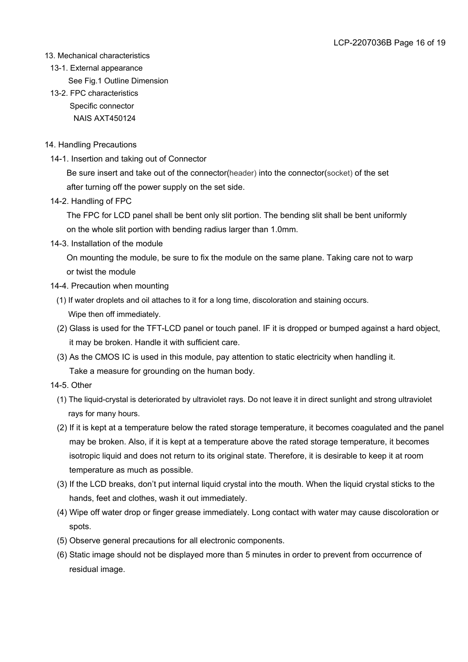#### 13. Mechanical characteristics

- 13-1. External appearance
	- See Fig.1 Outline Dimension
- 13-2. FPC characteristics Specific connector NAIS AXT450124

#### 14. Handling Precautions

14-1. Insertion and taking out of Connector

 Be sure insert and take out of the connector(header) into the connector(socket) of the set after turning off the power supply on the set side.

14-2. Handling of FPC

 The FPC for LCD panel shall be bent only slit portion. The bending slit shall be bent uniformly on the whole slit portion with bending radius larger than 1.0mm.

14-3. Installation of the module

 On mounting the module, be sure to fix the module on the same plane. Taking care not to warp or twist the module

- 14-4. Precaution when mounting
	- (1) If water droplets and oil attaches to it for a long time, discoloration and staining occurs. Wipe then off immediately.
	- (2) Glass is used for the TFT-LCD panel or touch panel. IF it is dropped or bumped against a hard object, it may be broken. Handle it with sufficient care.
	- (3) As the CMOS IC is used in this module, pay attention to static electricity when handling it. Take a measure for grounding on the human body.
- 14-5. Other
	- (1) The liquid-crystal is deteriorated by ultraviolet rays. Do not leave it in direct sunlight and strong ultraviolet rays for many hours.
	- (2) If it is kept at a temperature below the rated storage temperature, it becomes coagulated and the panel may be broken. Also, if it is kept at a temperature above the rated storage temperature, it becomes isotropic liquid and does not return to its original state. Therefore, it is desirable to keep it at room temperature as much as possible.
	- (3) If the LCD breaks, don't put internal liquid crystal into the mouth. When the liquid crystal sticks to the hands, feet and clothes, wash it out immediately.
	- (4) Wipe off water drop or finger grease immediately. Long contact with water may cause discoloration or spots.
	- (5) Observe general precautions for all electronic components.
	- (6) Static image should not be displayed more than 5 minutes in order to prevent from occurrence of residual image.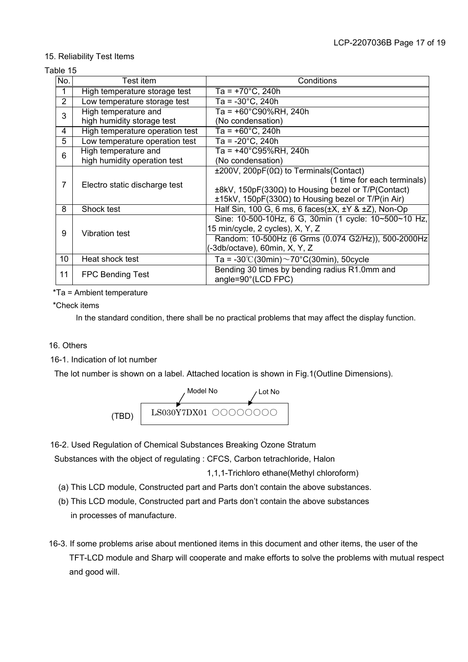#### 15. Reliability Test Items

#### Table 15

| No. | Test item                       | Conditions                                                          |
|-----|---------------------------------|---------------------------------------------------------------------|
| 1   | High temperature storage test   | Ta = $+70^{\circ}$ C, 240h                                          |
| 2   | Low temperature storage test    | $Ta = -30^{\circ}C$ , 240h                                          |
| 3   | High temperature and            | Ta = +60°C90%RH, 240h                                               |
|     | high humidity storage test      | (No condensation)                                                   |
| 4   | High temperature operation test | Ta = $+60^{\circ}$ C, 240h                                          |
| 5   | Low temperature operation test  | Ta = -20°C, 240h                                                    |
| 6   | High temperature and            | Ta = +40°C95%RH, 240h                                               |
|     | high humidity operation test    | (No condensation)                                                   |
|     |                                 | $\pm 200V$ , 200pF(0 $\Omega$ ) to Terminals(Contact)               |
| 7   | Electro static discharge test   | (1 time for each terminals)                                         |
|     |                                 | ±8kV, 150pF(330Ω) to Housing bezel or T/P(Contact)                  |
|     |                                 | $±15kV$ , 150pF(330 $\Omega$ ) to Housing bezel or T/P(in Air)      |
| 8   | Shock test                      | Half Sin, 100 G, 6 ms, 6 faces $(\pm X, \pm Y, \± Z)$ , Non-Op      |
|     |                                 | Sine: 10-500-10Hz, 6 G, 30min (1 cycle: 10~500~10 Hz,               |
| 9   | <b>Vibration test</b>           | 15 min/cycle, 2 cycles), X, Y, Z                                    |
|     |                                 | Random: 10-500Hz (6 Grms (0.074 G2/Hz)), 500-2000Hz                 |
|     |                                 | (-3db/octave), 60min, X, Y, Z                                       |
| 10  | Heat shock test                 | Ta = -30°C(30min) $\sim$ 70°C(30min), 50cycle                       |
| 11  | <b>FPC Bending Test</b>         | Bending 30 times by bending radius R1.0mm and<br>angle=90°(LCD FPC) |

\*Ta = Ambient temperature

\*Check items

In the standard condition, there shall be no practical problems that may affect the display function.

#### 16. Others

16-1. Indication of lot number

The lot number is shown on a label. Attached location is shown in Fig.1(Outline Dimensions).



16-2. Used Regulation of Chemical Substances Breaking Ozone Stratum

Substances with the object of regulating : CFCS, Carbon tetrachloride, Halon

1,1,1-Trichloro ethane(Methyl chloroform)

- (a) This LCD module, Constructed part and Parts don't contain the above substances.
- (b) This LCD module, Constructed part and Parts don't contain the above substances in processes of manufacture.
- 16-3. If some problems arise about mentioned items in this document and other items, the user of the TFT-LCD module and Sharp will cooperate and make efforts to solve the problems with mutual respect and good will.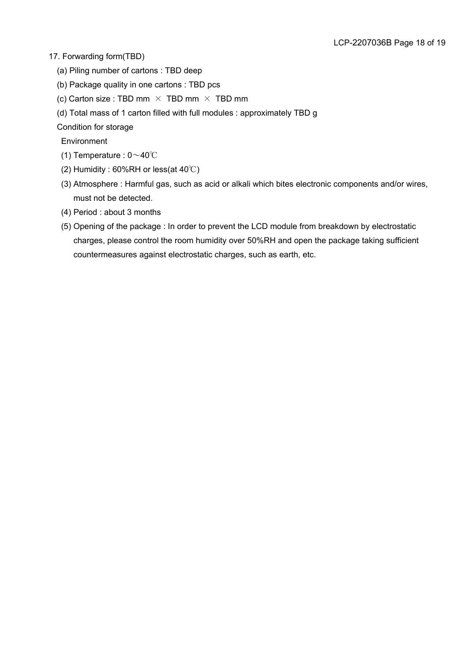#### 17. Forwarding form(TBD)

- (a) Piling number of cartons : TBD deep
- (b) Package quality in one cartons : TBD pcs
- (c) Carton size : TBD mm  $\times$  TBD mm  $\times$  TBD mm
- (d) Total mass of 1 carton filled with full modules : approximately TBD g

Condition for storage

**Environment** 

- (1) Temperature :  $0 \sim 40^{\circ}$ C
- (2) Humidity :  $60\%RH$  or less(at  $40^{\circ}$ C)
- (3) Atmosphere : Harmful gas, such as acid or alkali which bites electronic components and/or wires, must not be detected.
- (4) Period : about 3 months
- (5) Opening of the package : In order to prevent the LCD module from breakdown by electrostatic charges, please control the room humidity over 50%RH and open the package taking sufficient countermeasures against electrostatic charges, such as earth, etc.